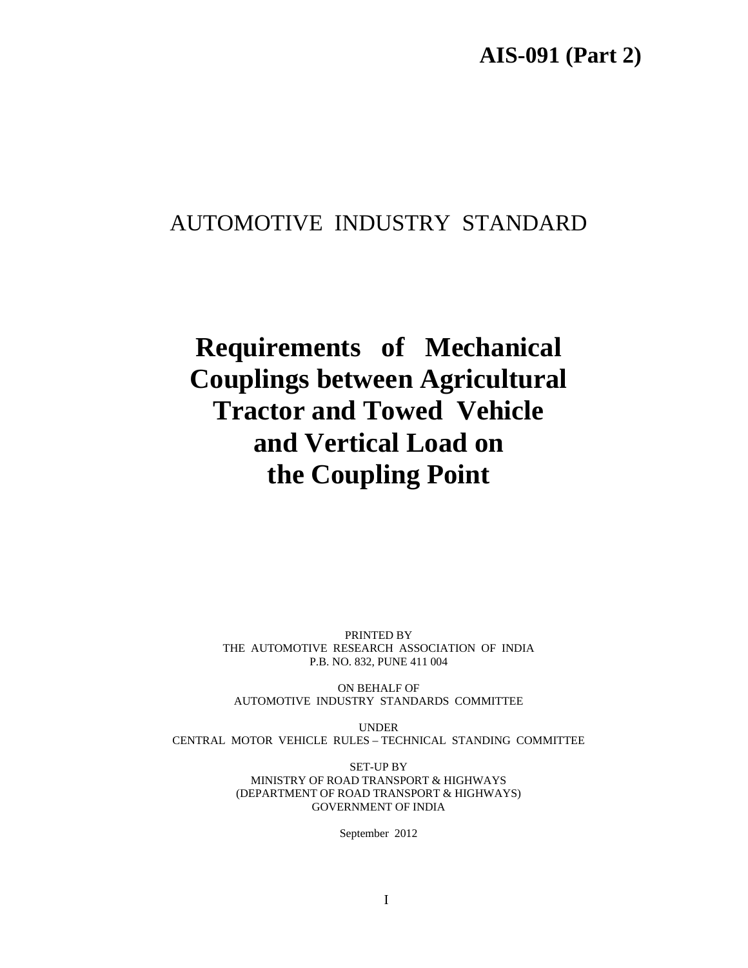## AUTOMOTIVE INDUSTRY STANDARD

# **Requirements of Mechanical Couplings between Agricultural Tractor and Towed Vehicle and Vertical Load on the Coupling Point**

PRINTED BY THE AUTOMOTIVE RESEARCH ASSOCIATION OF INDIA P.B. NO. 832, PUNE 411 004

ON BEHALF OF AUTOMOTIVE INDUSTRY STANDARDS COMMITTEE

UNDER CENTRAL MOTOR VEHICLE RULES – TECHNICAL STANDING COMMITTEE

> SET-UP BY MINISTRY OF ROAD TRANSPORT & HIGHWAYS (DEPARTMENT OF ROAD TRANSPORT & HIGHWAYS) GOVERNMENT OF INDIA

> > September 2012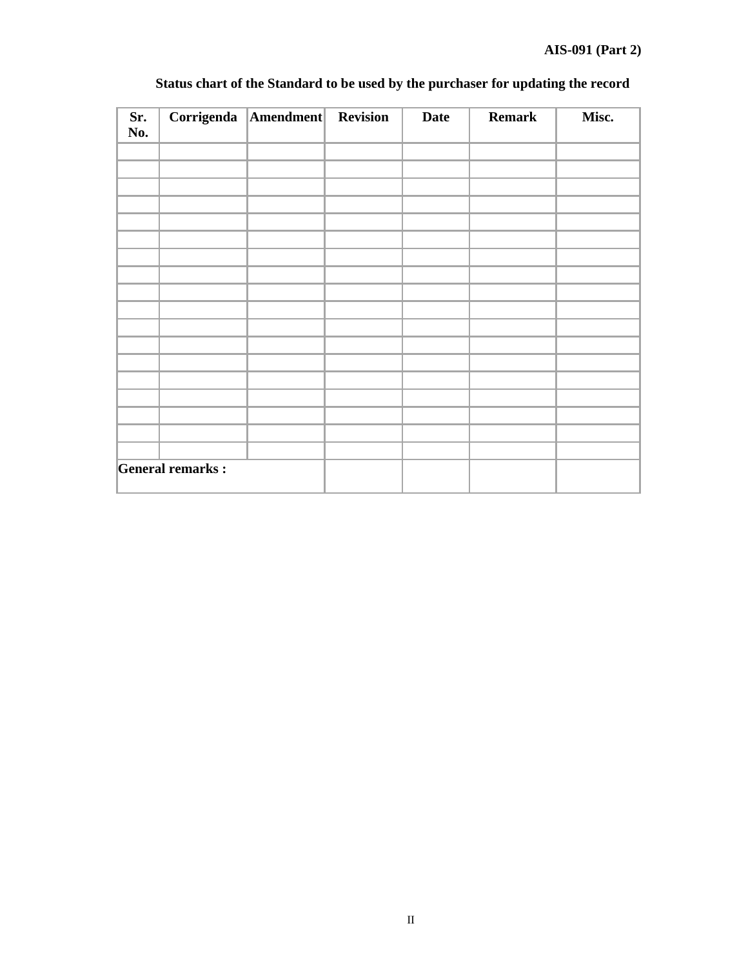| Sr.<br>No. |                         | Corrigenda   Amendment   Revision | <b>Date</b> | <b>Remark</b> | Misc. |
|------------|-------------------------|-----------------------------------|-------------|---------------|-------|
|            |                         |                                   |             |               |       |
|            |                         |                                   |             |               |       |
|            |                         |                                   |             |               |       |
|            |                         |                                   |             |               |       |
|            |                         |                                   |             |               |       |
|            |                         |                                   |             |               |       |
|            |                         |                                   |             |               |       |
|            |                         |                                   |             |               |       |
|            |                         |                                   |             |               |       |
|            |                         |                                   |             |               |       |
|            |                         |                                   |             |               |       |
|            |                         |                                   |             |               |       |
|            |                         |                                   |             |               |       |
|            |                         |                                   |             |               |       |
|            |                         |                                   |             |               |       |
|            |                         |                                   |             |               |       |
|            |                         |                                   |             |               |       |
|            |                         |                                   |             |               |       |
|            | <b>General remarks:</b> |                                   |             |               |       |

## **Status chart of the Standard to be used by the purchaser for updating the record**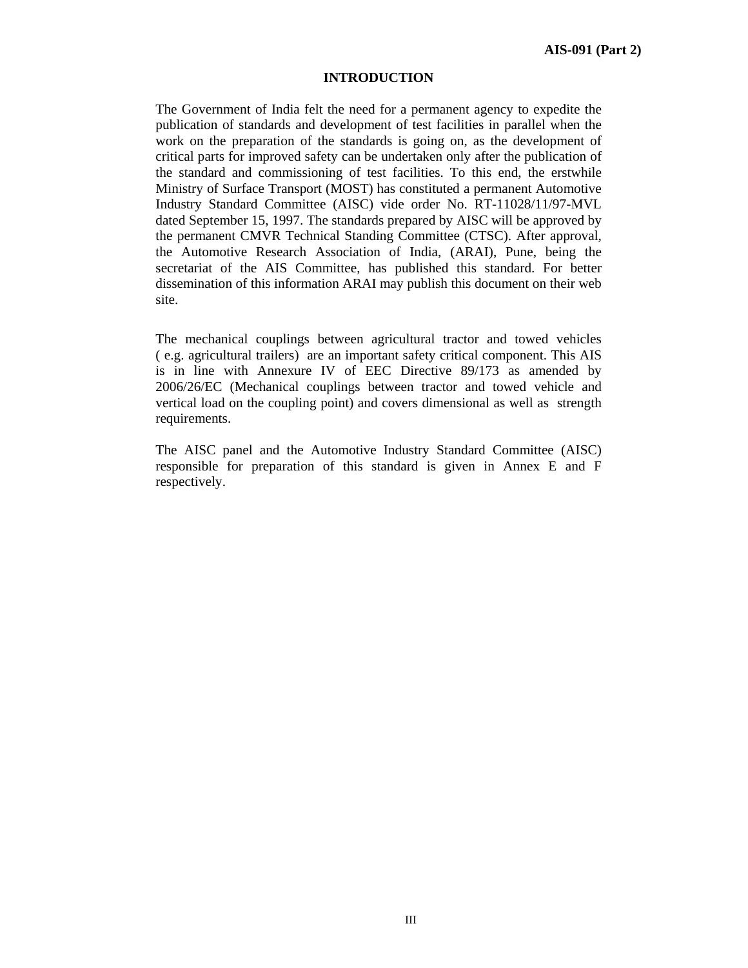## **INTRODUCTION**

The Government of India felt the need for a permanent agency to expedite the publication of standards and development of test facilities in parallel when the work on the preparation of the standards is going on, as the development of critical parts for improved safety can be undertaken only after the publication of the standard and commissioning of test facilities. To this end, the erstwhile Ministry of Surface Transport (MOST) has constituted a permanent Automotive Industry Standard Committee (AISC) vide order No. RT-11028/11/97-MVL dated September 15, 1997. The standards prepared by AISC will be approved by the permanent CMVR Technical Standing Committee (CTSC). After approval, the Automotive Research Association of India, (ARAI), Pune, being the secretariat of the AIS Committee, has published this standard. For better dissemination of this information ARAI may publish this document on their web site.

The mechanical couplings between agricultural tractor and towed vehicles ( e.g. agricultural trailers) are an important safety critical component. This AIS is in line with Annexure IV of EEC Directive 89/173 as amended by 2006/26/EC (Mechanical couplings between tractor and towed vehicle and vertical load on the coupling point) and covers dimensional as well as strength requirements.

The AISC panel and the Automotive Industry Standard Committee (AISC) responsible for preparation of this standard is given in Annex E and F respectively.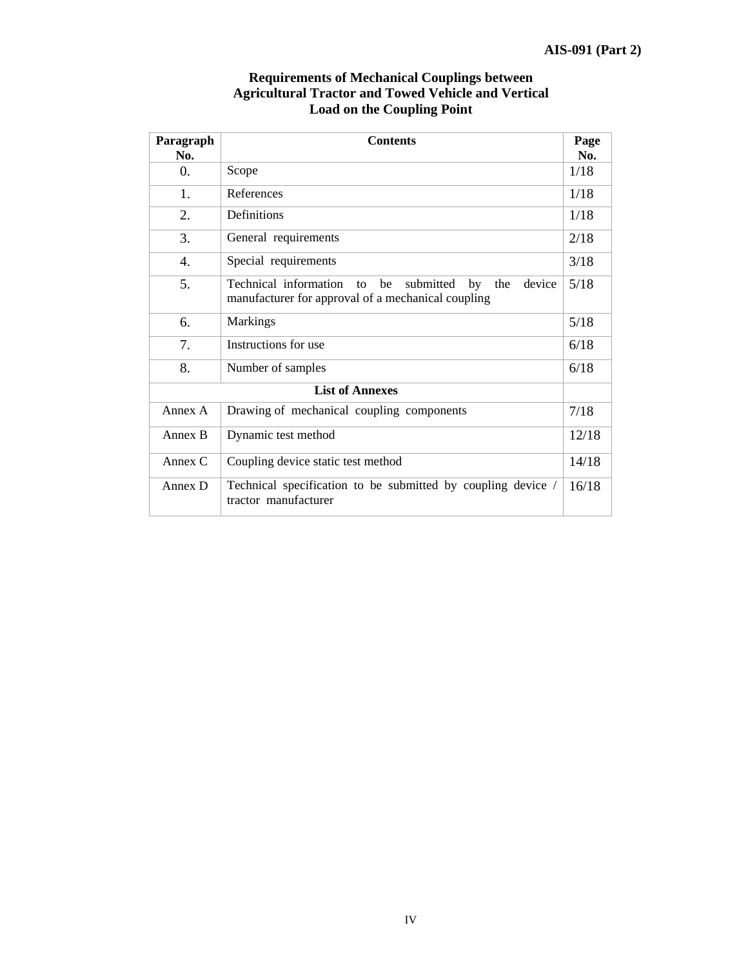| Paragraph<br>No.       | <b>Contents</b>                                                                                                             | Page<br>No. |  |
|------------------------|-----------------------------------------------------------------------------------------------------------------------------|-------------|--|
| $\overline{0}$ .       | Scope                                                                                                                       |             |  |
| 1.                     | References                                                                                                                  | 1/18        |  |
| 2.                     | Definitions                                                                                                                 | 1/18        |  |
| 3.                     | General requirements                                                                                                        | 2/18        |  |
| 4.                     | Special requirements                                                                                                        | 3/18        |  |
| 5.                     | Technical information<br>submitted<br>device<br>the<br>be<br>by<br>to<br>manufacturer for approval of a mechanical coupling | 5/18        |  |
| 6.                     | <b>Markings</b>                                                                                                             | 5/18        |  |
| 7.                     | Instructions for use                                                                                                        | 6/18        |  |
| 8.                     | Number of samples                                                                                                           | 6/18        |  |
| <b>List of Annexes</b> |                                                                                                                             |             |  |
| Annex A                | Drawing of mechanical coupling components                                                                                   | 7/18        |  |
| Annex B                | Dynamic test method                                                                                                         | 12/18       |  |
| Annex $C$              | Coupling device static test method                                                                                          | 14/18       |  |
| Annex D                | Technical specification to be submitted by coupling device /<br>tractor manufacturer                                        | 16/18       |  |

## **Requirements of Mechanical Couplings between Agricultural Tractor and Towed Vehicle and Vertical Load on the Coupling Point**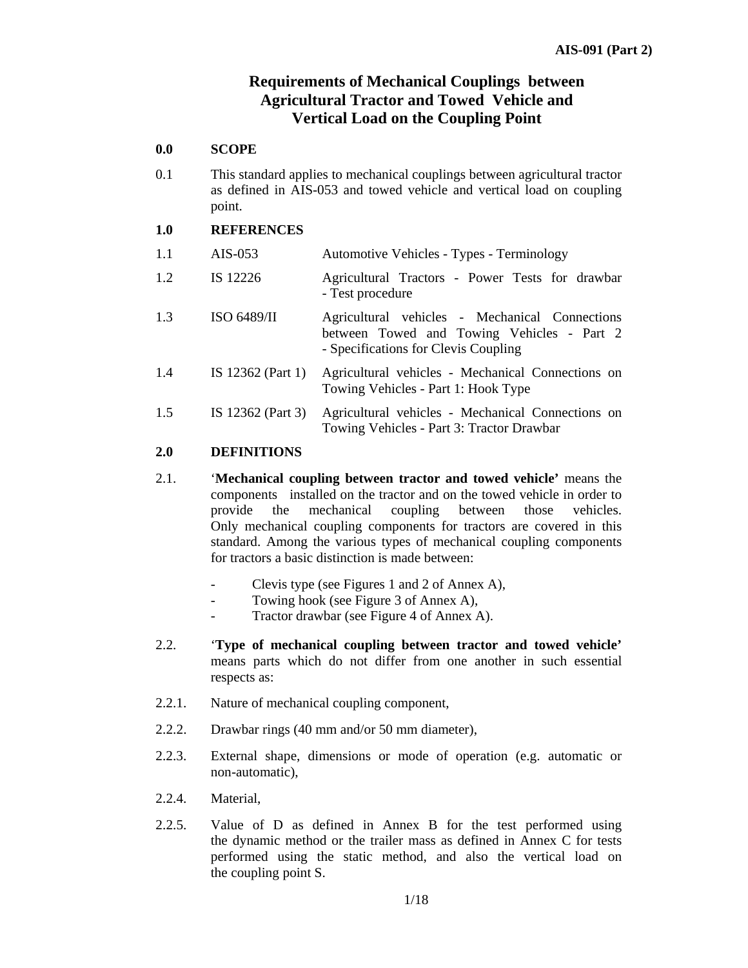## **Requirements of Mechanical Couplings between Agricultural Tractor and Towed Vehicle and Vertical Load on the Coupling Point**

#### **0.0 SCOPE**

0.1 This standard applies to mechanical couplings between agricultural tractor as defined in AIS-053 and towed vehicle and vertical load on coupling point.

#### **1.0 REFERENCES**

| 1.1 | $AIS-053$         | Automotive Vehicles - Types - Terminology                                                                                            |
|-----|-------------------|--------------------------------------------------------------------------------------------------------------------------------------|
| 1.2 | IS 12226          | Agricultural Tractors - Power Tests for drawbar<br>- Test procedure                                                                  |
| 1.3 | ISO 6489/II       | Agricultural vehicles - Mechanical Connections<br>between Towed and Towing Vehicles - Part 2<br>- Specifications for Clevis Coupling |
| 1.4 | IS 12362 (Part 1) | Agricultural vehicles - Mechanical Connections on<br>Towing Vehicles - Part 1: Hook Type                                             |
| 1.5 | IS 12362 (Part 3) | Agricultural vehicles - Mechanical Connections on<br>Towing Vehicles - Part 3: Tractor Drawbar                                       |

## **2.0 DEFINITIONS**

- 2.1. '**Mechanical coupling between tractor and towed vehicle'** means the components installed on the tractor and on the towed vehicle in order to provide the mechanical coupling between those vehicles. Only mechanical coupling components for tractors are covered in this standard. Among the various types of mechanical coupling components for tractors a basic distinction is made between:
	- Clevis type (see Figures 1 and 2 of Annex A),
	- Towing hook (see Figure 3 of Annex A),
	- Tractor drawbar (see Figure 4 of Annex A).
- 2.2. '**Type of mechanical coupling between tractor and towed vehicle'** means parts which do not differ from one another in such essential respects as:
- 2.2.1. Nature of mechanical coupling component,
- 2.2.2. Drawbar rings (40 mm and/or 50 mm diameter),
- 2.2.3. External shape, dimensions or mode of operation (e.g. automatic or non-automatic),
- 2.2.4. Material,
- 2.2.5. Value of D as defined in Annex B for the test performed using the dynamic method or the trailer mass as defined in Annex C for tests performed using the static method, and also the vertical load on the coupling point S.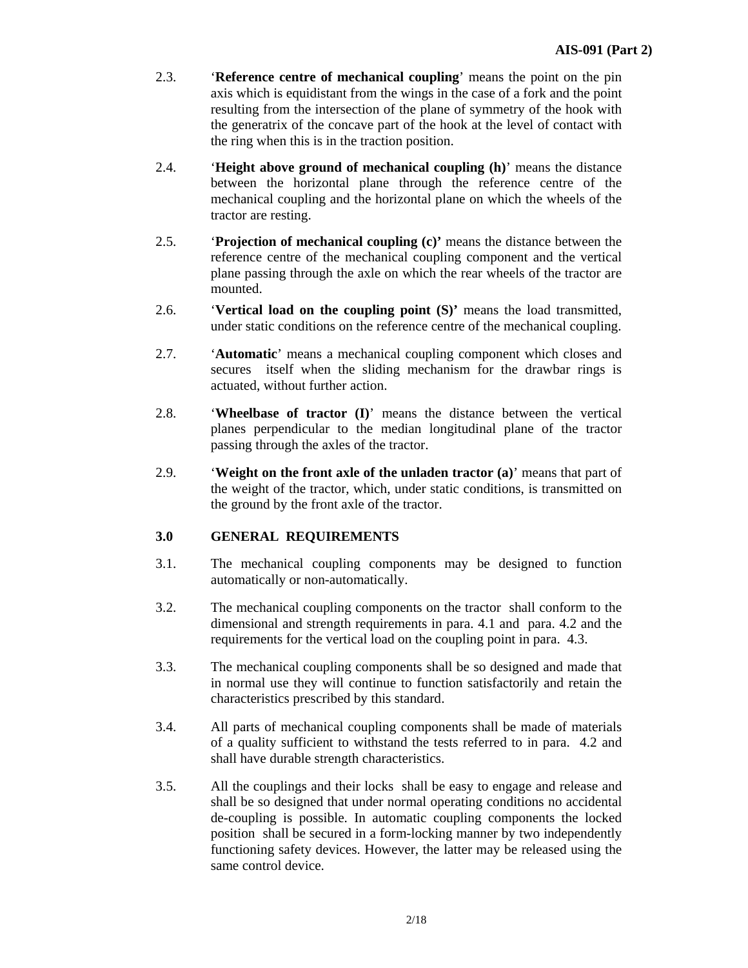- 2.3. '**Reference centre of mechanical coupling**' means the point on the pin axis which is equidistant from the wings in the case of a fork and the point resulting from the intersection of the plane of symmetry of the hook with the generatrix of the concave part of the hook at the level of contact with the ring when this is in the traction position.
- 2.4. '**Height above ground of mechanical coupling (h)**' means the distance between the horizontal plane through the reference centre of the mechanical coupling and the horizontal plane on which the wheels of the tractor are resting.
- 2.5. '**Projection of mechanical coupling (c)'** means the distance between the reference centre of the mechanical coupling component and the vertical plane passing through the axle on which the rear wheels of the tractor are mounted.
- 2.6. '**Vertical load on the coupling point (S)'** means the load transmitted, under static conditions on the reference centre of the mechanical coupling.
- 2.7. '**Automatic**' means a mechanical coupling component which closes and secures itself when the sliding mechanism for the drawbar rings is actuated, without further action.
- 2.8. '**Wheelbase of tractor (I)**' means the distance between the vertical planes perpendicular to the median longitudinal plane of the tractor passing through the axles of the tractor.
- 2.9. '**Weight on the front axle of the unladen tractor (a)**' means that part of the weight of the tractor, which, under static conditions, is transmitted on the ground by the front axle of the tractor.

## **3.0 GENERAL REQUIREMENTS**

- 3.1. The mechanical coupling components may be designed to function automatically or non-automatically.
- 3.2. The mechanical coupling components on the tractor shall conform to the dimensional and strength requirements in para. 4.1 and para. 4.2 and the requirements for the vertical load on the coupling point in para. 4.3.
- 3.3. The mechanical coupling components shall be so designed and made that in normal use they will continue to function satisfactorily and retain the characteristics prescribed by this standard.
- 3.4. All parts of mechanical coupling components shall be made of materials of a quality sufficient to withstand the tests referred to in para. 4.2 and shall have durable strength characteristics.
- 3.5. All the couplings and their locks shall be easy to engage and release and shall be so designed that under normal operating conditions no accidental de-coupling is possible. In automatic coupling components the locked position shall be secured in a form-locking manner by two independently functioning safety devices. However, the latter may be released using the same control device.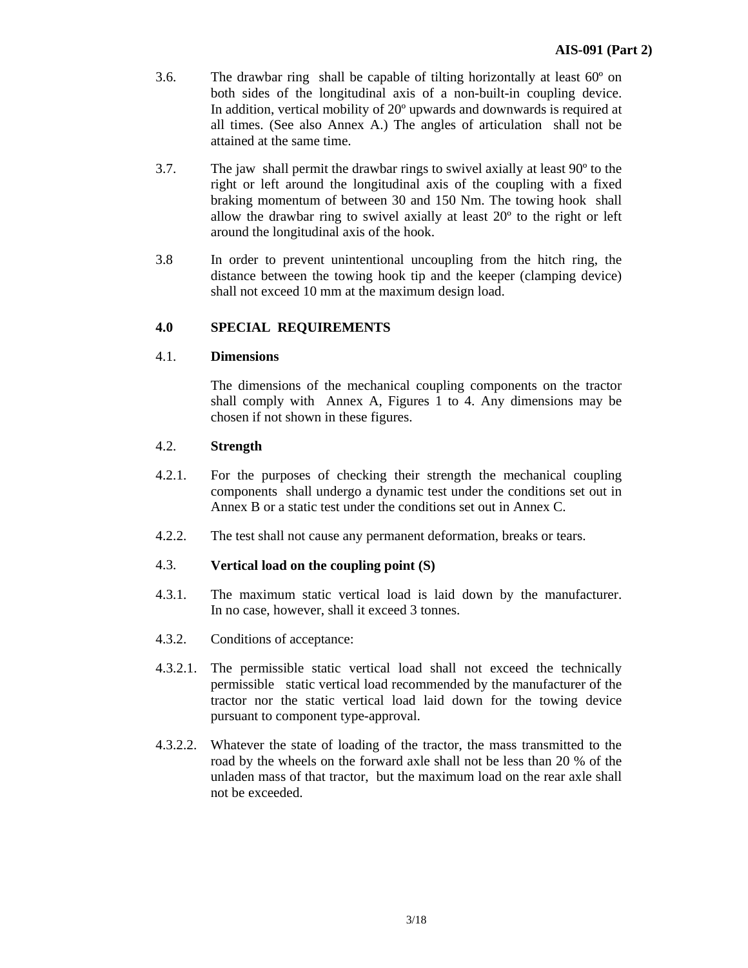- 3.6. The drawbar ring shall be capable of tilting horizontally at least 60º on both sides of the longitudinal axis of a non-built-in coupling device. In addition, vertical mobility of 20º upwards and downwards is required at all times. (See also Annex A.) The angles of articulation shall not be attained at the same time.
- 3.7. The jaw shall permit the drawbar rings to swivel axially at least 90º to the right or left around the longitudinal axis of the coupling with a fixed braking momentum of between 30 and 150 Nm. The towing hook shall allow the drawbar ring to swivel axially at least 20º to the right or left around the longitudinal axis of the hook.
- 3.8 In order to prevent unintentional uncoupling from the hitch ring, the distance between the towing hook tip and the keeper (clamping device) shall not exceed 10 mm at the maximum design load.

## **4.0 SPECIAL REQUIREMENTS**

#### 4.1. **Dimensions**

 The dimensions of the mechanical coupling components on the tractor shall comply with Annex A, Figures 1 to 4. Any dimensions may be chosen if not shown in these figures.

#### 4.2. **Strength**

- 4.2.1. For the purposes of checking their strength the mechanical coupling components shall undergo a dynamic test under the conditions set out in Annex B or a static test under the conditions set out in Annex C.
- 4.2.2. The test shall not cause any permanent deformation, breaks or tears.

#### 4.3. **Vertical load on the coupling point (S)**

- 4.3.1. The maximum static vertical load is laid down by the manufacturer. In no case, however, shall it exceed 3 tonnes.
- 4.3.2. Conditions of acceptance:
- 4.3.2.1. The permissible static vertical load shall not exceed the technically permissible static vertical load recommended by the manufacturer of the tractor nor the static vertical load laid down for the towing device pursuant to component type-approval.
- 4.3.2.2. Whatever the state of loading of the tractor, the mass transmitted to the road by the wheels on the forward axle shall not be less than 20 % of the unladen mass of that tractor, but the maximum load on the rear axle shall not be exceeded.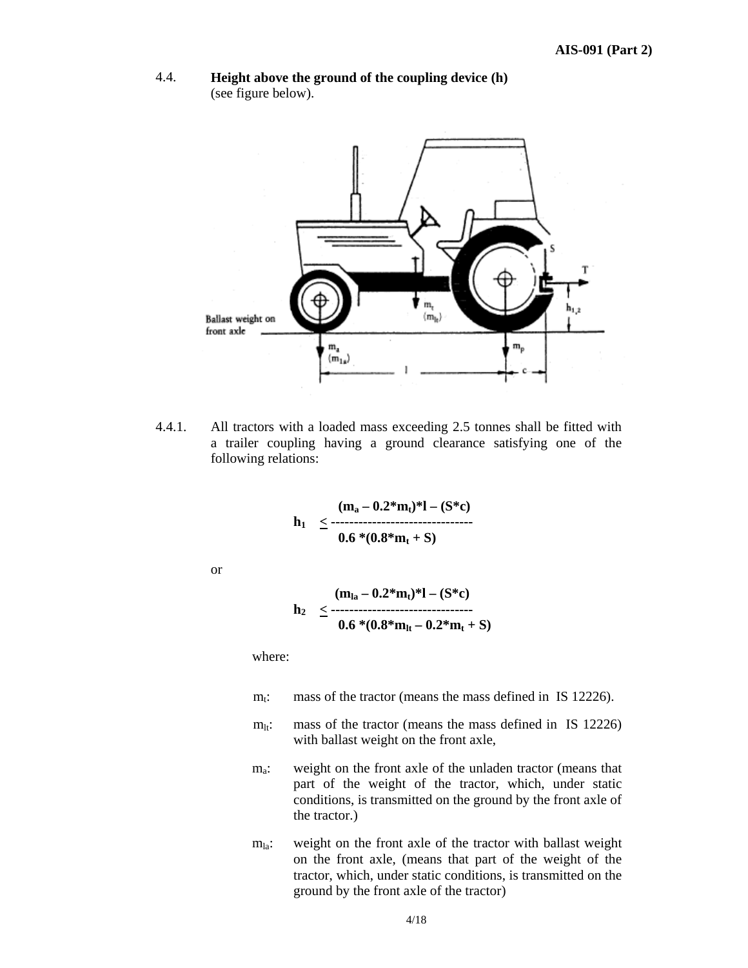



4.4.1. All tractors with a loaded mass exceeding 2.5 tonnes shall be fitted with a trailer coupling having a ground clearance satisfying one of the following relations:

$$
h_1 \leq \frac{(m_a - 0.2^*m_t)^* - (S^*c)}{0.6*(0.8^*m_t + S)}
$$

or

$$
h_2 \leq \frac{(m_{la} - 0.2^*m_t)^* - (S^*c)}{0.6*(0.8^*m_{lt} - 0.2^*m_t + S)}
$$

where:

- $m_t$ : mass of the tractor (means the mass defined in IS 12226).
- $m_{lt}$ : mass of the tractor (means the mass defined in IS 12226) with ballast weight on the front axle,
- m<sub>a</sub>: weight on the front axle of the unladen tractor (means that part of the weight of the tractor, which, under static conditions, is transmitted on the ground by the front axle of the tractor.)
- $m<sub>la</sub>$ : weight on the front axle of the tractor with ballast weight on the front axle, (means that part of the weight of the tractor, which, under static conditions, is transmitted on the ground by the front axle of the tractor)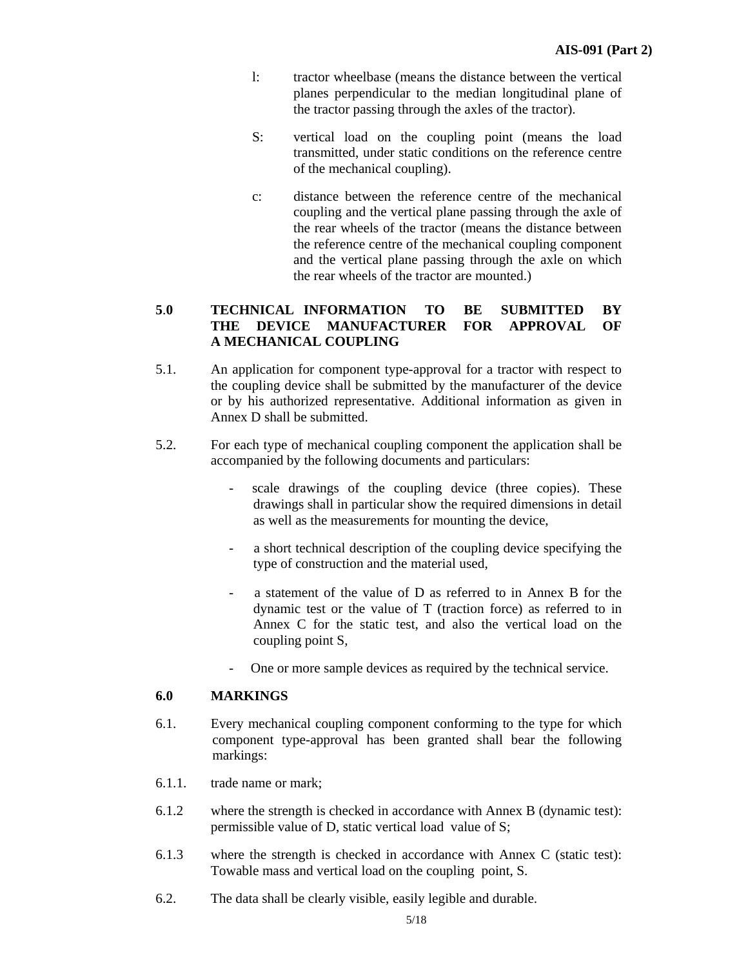- l: tractor wheelbase (means the distance between the vertical planes perpendicular to the median longitudinal plane of the tractor passing through the axles of the tractor).
- S: vertical load on the coupling point (means the load transmitted, under static conditions on the reference centre of the mechanical coupling).
- c: distance between the reference centre of the mechanical coupling and the vertical plane passing through the axle of the rear wheels of the tractor (means the distance between the reference centre of the mechanical coupling component and the vertical plane passing through the axle on which the rear wheels of the tractor are mounted.)

## **5**.**0 TECHNICAL INFORMATION TO BE SUBMITTED BY THE DEVICE MANUFACTURER FOR APPROVAL OF A MECHANICAL COUPLING**

- 5.1. An application for component type-approval for a tractor with respect to the coupling device shall be submitted by the manufacturer of the device or by his authorized representative. Additional information as given in Annex D shall be submitted.
- 5.2. For each type of mechanical coupling component the application shall be accompanied by the following documents and particulars:
	- scale drawings of the coupling device (three copies). These drawings shall in particular show the required dimensions in detail as well as the measurements for mounting the device,
	- a short technical description of the coupling device specifying the type of construction and the material used,
	- a statement of the value of D as referred to in Annex B for the dynamic test or the value of T (traction force) as referred to in Annex C for the static test, and also the vertical load on the coupling point S,
	- One or more sample devices as required by the technical service.

#### **6.0 MARKINGS**

- 6.1. Every mechanical coupling component conforming to the type for which component type-approval has been granted shall bear the following markings:
- 6.1.1. trade name or mark;
- 6.1.2 where the strength is checked in accordance with Annex B (dynamic test): permissible value of D, static vertical load value of S;
- 6.1.3where the strength is checked in accordance with Annex C (static test): Towable mass and vertical load on the coupling point, S.
- 6.2. The data shall be clearly visible, easily legible and durable.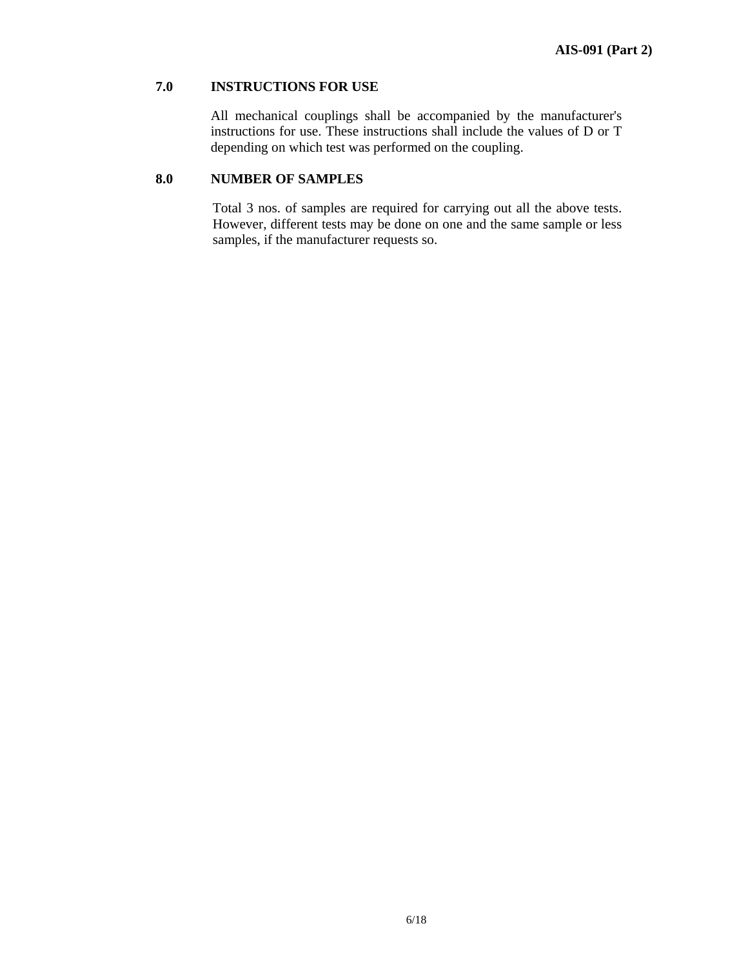## **7.0 INSTRUCTIONS FOR USE**

 All mechanical couplings shall be accompanied by the manufacturer's instructions for use. These instructions shall include the values of D or T depending on which test was performed on the coupling.

## **8.0 NUMBER OF SAMPLES**

Total 3 nos. of samples are required for carrying out all the above tests. However, different tests may be done on one and the same sample or less samples, if the manufacturer requests so.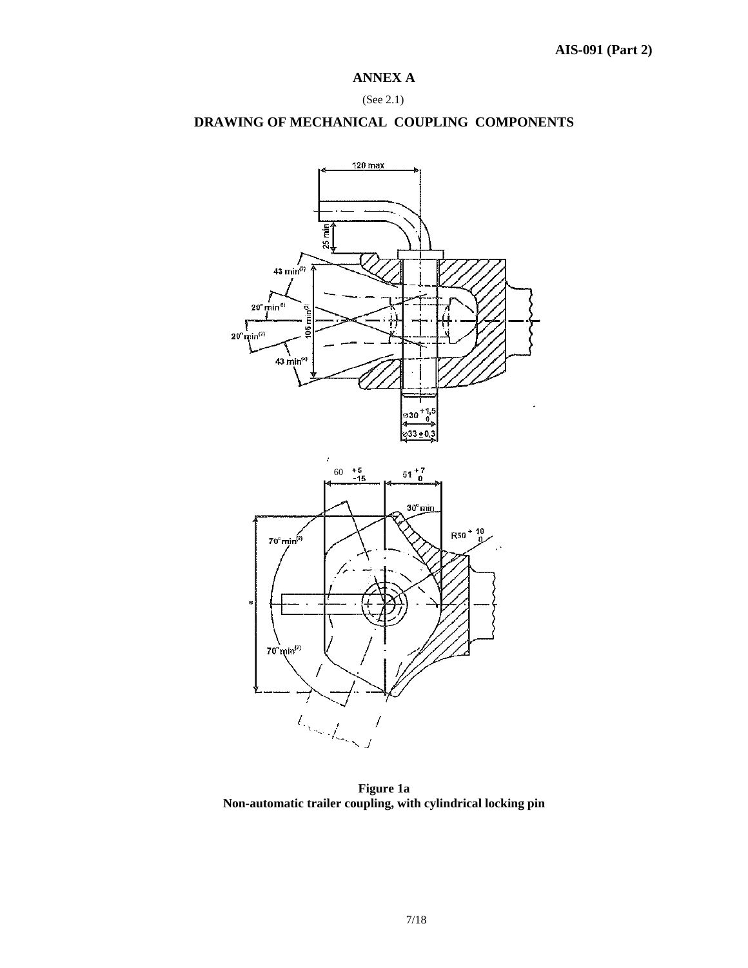## **ANNEX A**

#### (See 2.1)

## **DRAWING OF MECHANICAL COUPLING COMPONENTS**



**Figure 1a Non-automatic trailer coupling, with cylindrical locking pin**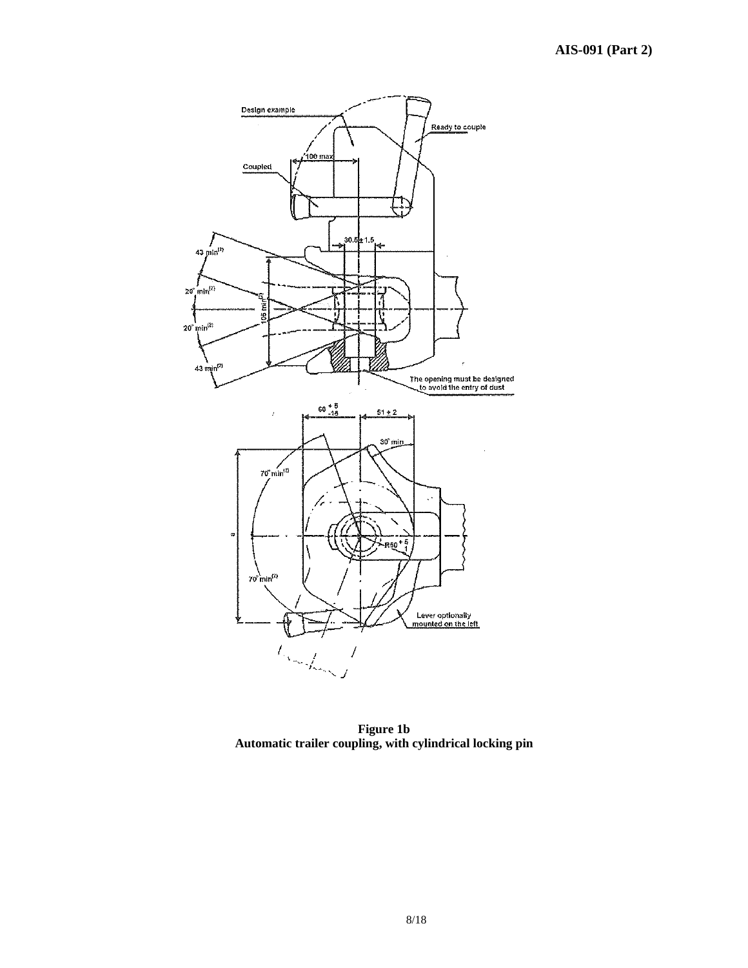

**Figure 1b Automatic trailer coupling, with cylindrical locking pin**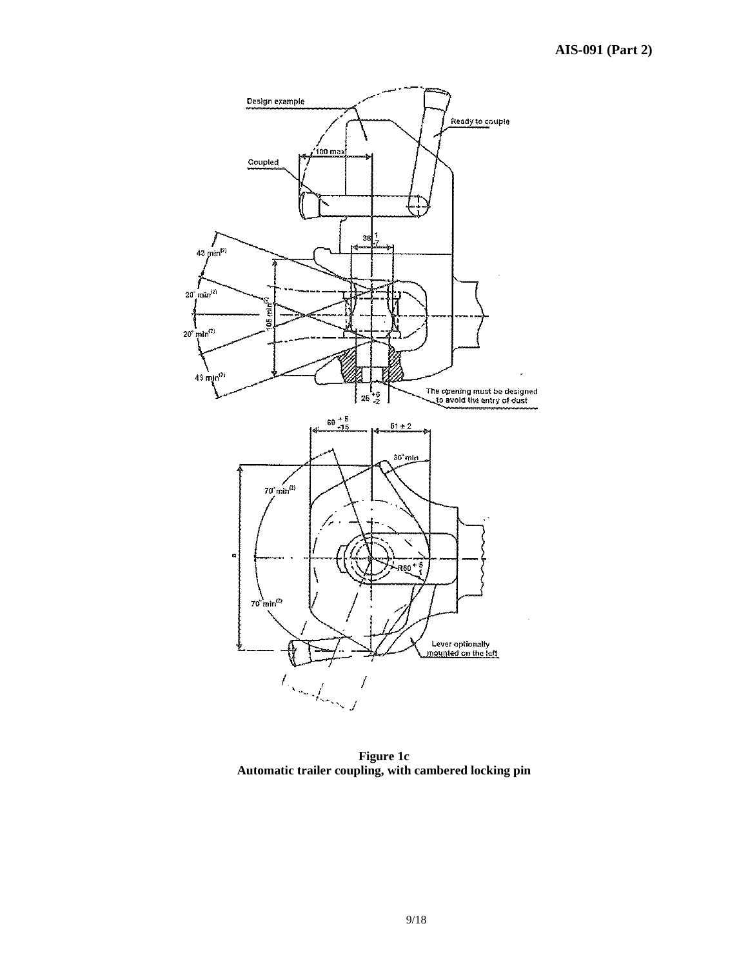

**Figure 1c Automatic trailer coupling, with cambered locking pin**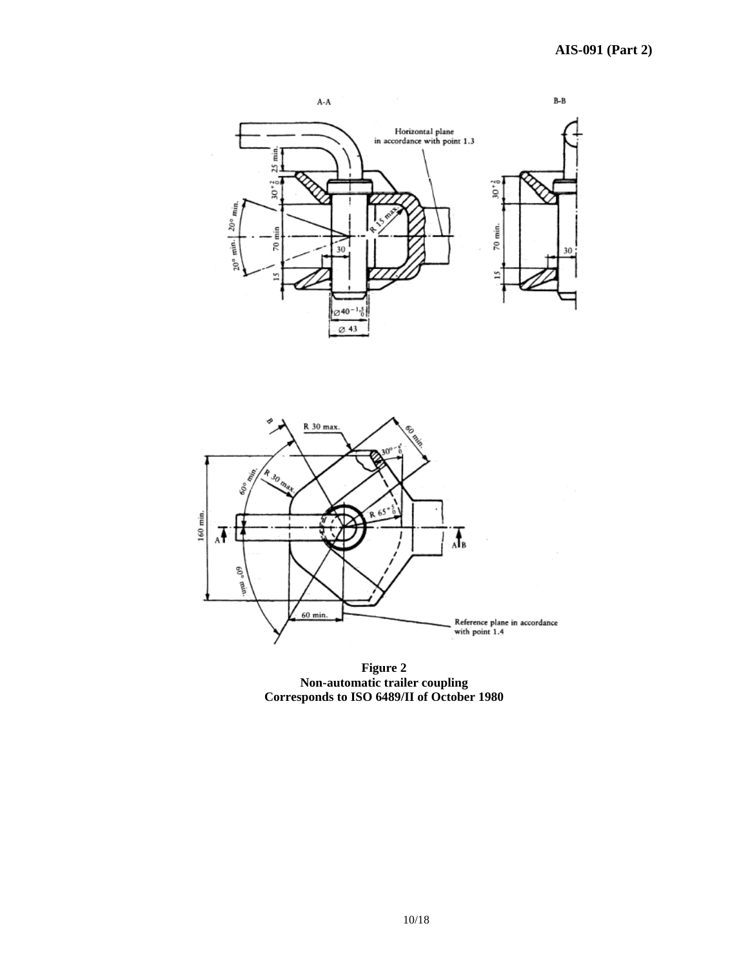



**Figure 2 Non-automatic trailer coupling Corresponds to ISO 6489/II of October 1980**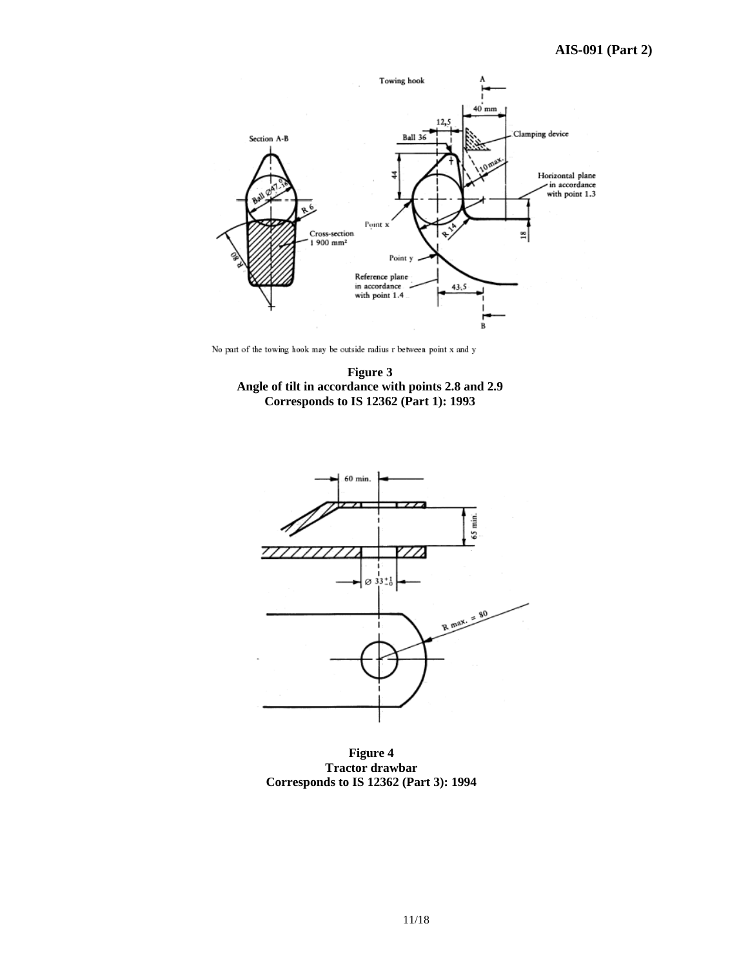

No part of the towing hook may be outside radius  $r$  between point  $x$  and  $y$ 





**Figure 4 Tractor drawbar Corresponds to IS 12362 (Part 3): 1994**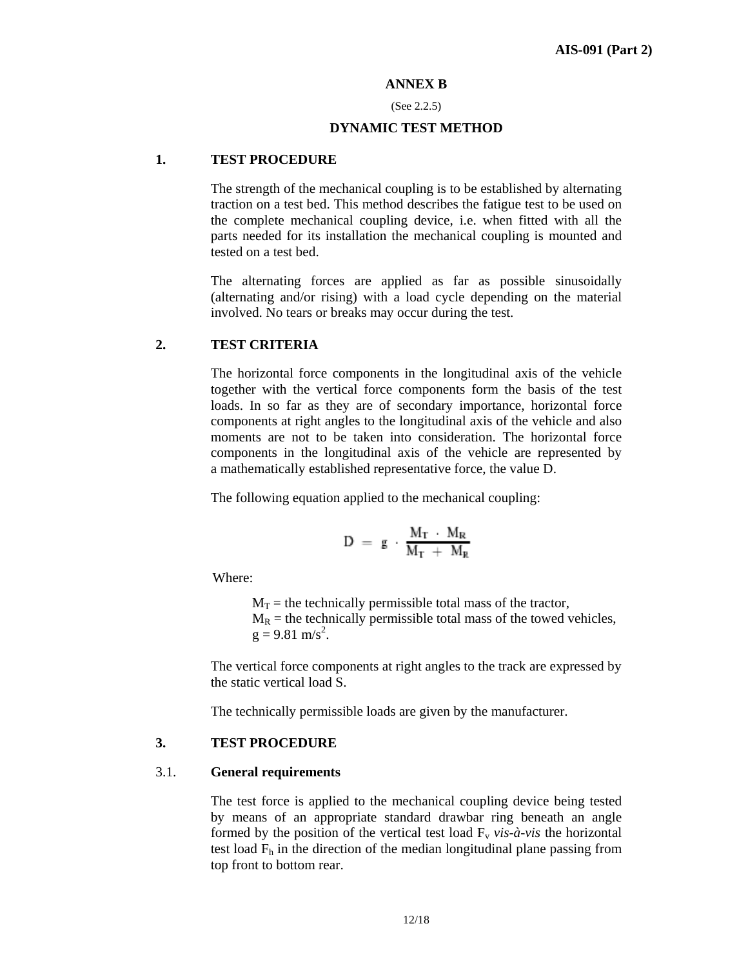#### **ANNEX B**

#### (See 2.2.5)

#### **DYNAMIC TEST METHOD**

#### **1. TEST PROCEDURE**

The strength of the mechanical coupling is to be established by alternating traction on a test bed. This method describes the fatigue test to be used on the complete mechanical coupling device, i.e. when fitted with all the parts needed for its installation the mechanical coupling is mounted and tested on a test bed.

The alternating forces are applied as far as possible sinusoidally (alternating and/or rising) with a load cycle depending on the material involved. No tears or breaks may occur during the test.

#### **2. TEST CRITERIA**

The horizontal force components in the longitudinal axis of the vehicle together with the vertical force components form the basis of the test loads. In so far as they are of secondary importance, horizontal force components at right angles to the longitudinal axis of the vehicle and also moments are not to be taken into consideration. The horizontal force components in the longitudinal axis of the vehicle are represented by a mathematically established representative force, the value D.

The following equation applied to the mechanical coupling:

$$
D~=~g~-~\frac{M_T~-~M_R}{M_T~+~M_R}
$$

Where:

 $M_T$  = the technically permissible total mass of the tractor,  $M_R$  = the technically permissible total mass of the towed vehicles,  $g = 9.81$  m/s<sup>2</sup>.

The vertical force components at right angles to the track are expressed by the static vertical load S.

The technically permissible loads are given by the manufacturer.

#### **3. TEST PROCEDURE**

#### 3.1. **General requirements**

The test force is applied to the mechanical coupling device being tested by means of an appropriate standard drawbar ring beneath an angle formed by the position of the vertical test load  $F_v$  *vis-à-vis* the horizontal test load  $F_h$  in the direction of the median longitudinal plane passing from top front to bottom rear.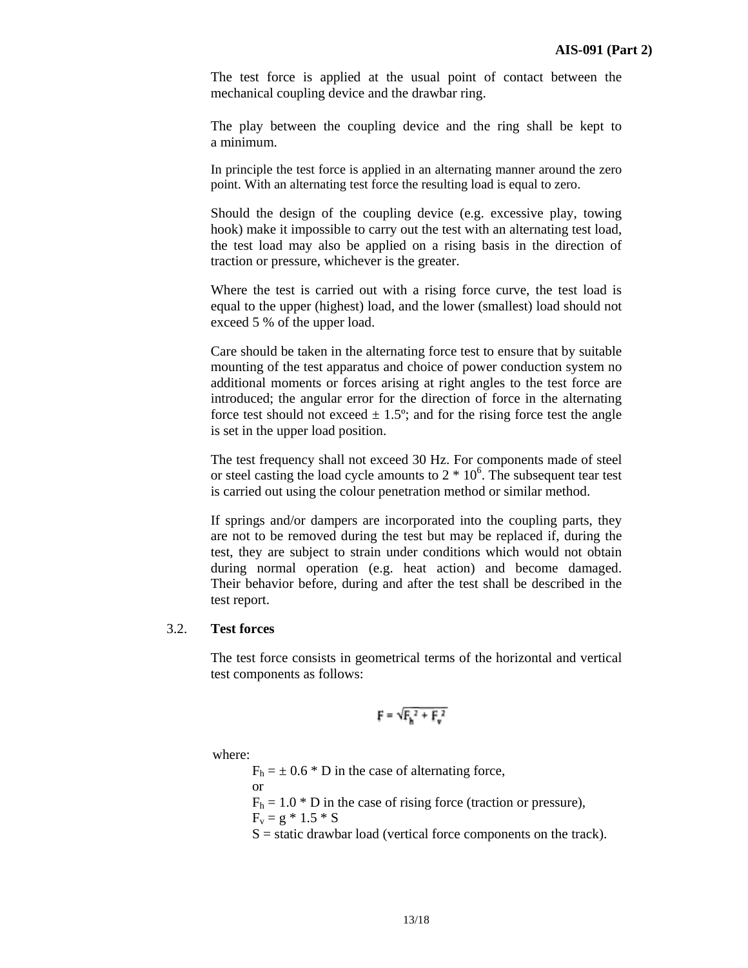The test force is applied at the usual point of contact between the mechanical coupling device and the drawbar ring.

The play between the coupling device and the ring shall be kept to a minimum.

In principle the test force is applied in an alternating manner around the zero point. With an alternating test force the resulting load is equal to zero.

Should the design of the coupling device (e.g. excessive play, towing hook) make it impossible to carry out the test with an alternating test load, the test load may also be applied on a rising basis in the direction of traction or pressure, whichever is the greater.

Where the test is carried out with a rising force curve, the test load is equal to the upper (highest) load, and the lower (smallest) load should not exceed 5 % of the upper load.

Care should be taken in the alternating force test to ensure that by suitable mounting of the test apparatus and choice of power conduction system no additional moments or forces arising at right angles to the test force are introduced; the angular error for the direction of force in the alternating force test should not exceed  $\pm$  1.5°; and for the rising force test the angle is set in the upper load position.

The test frequency shall not exceed 30 Hz. For components made of steel or steel casting the load cycle amounts to  $2 * 10<sup>6</sup>$ . The subsequent tear test is carried out using the colour penetration method or similar method.

If springs and/or dampers are incorporated into the coupling parts, they are not to be removed during the test but may be replaced if, during the test, they are subject to strain under conditions which would not obtain during normal operation (e.g. heat action) and become damaged. Their behavior before, during and after the test shall be described in the test report.

#### 3.2. **Test forces**

The test force consists in geometrical terms of the horizontal and vertical test components as follows:

$$
F = \sqrt{F_h^2 + F_v^2}
$$

where:

 $F_h = \pm 0.6 * D$  in the case of alternating force, or  $F_h = 1.0 * D$  in the case of rising force (traction or pressure),  $F_v = g * 1.5 * S$  $S =$  static drawbar load (vertical force components on the track).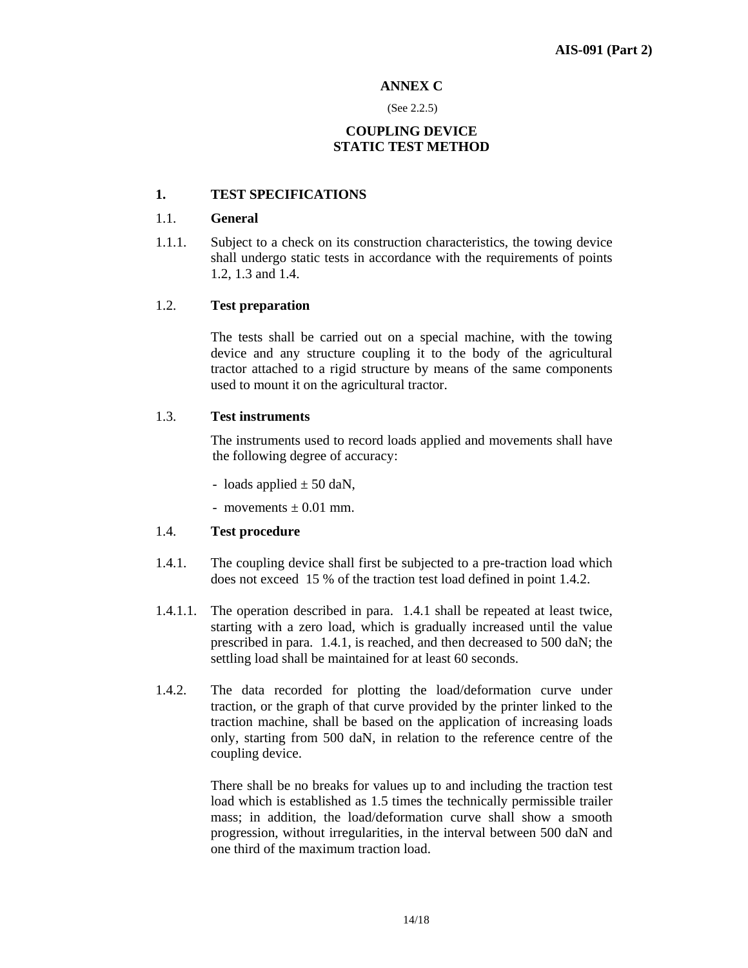#### **ANNEX C**

#### (See 2.2.5)

## **COUPLING DEVICE STATIC TEST METHOD**

## **1. TEST SPECIFICATIONS**

## 1.1. **General**

1.1.1. Subject to a check on its construction characteristics, the towing device shall undergo static tests in accordance with the requirements of points 1.2, 1.3 and 1.4.

## 1.2. **Test preparation**

 The tests shall be carried out on a special machine, with the towing device and any structure coupling it to the body of the agricultural tractor attached to a rigid structure by means of the same components used to mount it on the agricultural tractor.

## 1.3. **Test instruments**

 The instruments used to record loads applied and movements shall have the following degree of accuracy:

- loads applied  $\pm$  50 daN,
- movements  $\pm$  0.01 mm.

## 1.4. **Test procedure**

- 1.4.1. The coupling device shall first be subjected to a pre-traction load which does not exceed 15 % of the traction test load defined in point 1.4.2.
- 1.4.1.1. The operation described in para. 1.4.1 shall be repeated at least twice, starting with a zero load, which is gradually increased until the value prescribed in para. 1.4.1, is reached, and then decreased to 500 daN; the settling load shall be maintained for at least 60 seconds.
- 1.4.2. The data recorded for plotting the load/deformation curve under traction, or the graph of that curve provided by the printer linked to the traction machine, shall be based on the application of increasing loads only, starting from 500 daN, in relation to the reference centre of the coupling device.

There shall be no breaks for values up to and including the traction test load which is established as 1.5 times the technically permissible trailer mass; in addition, the load/deformation curve shall show a smooth progression, without irregularities, in the interval between 500 daN and one third of the maximum traction load.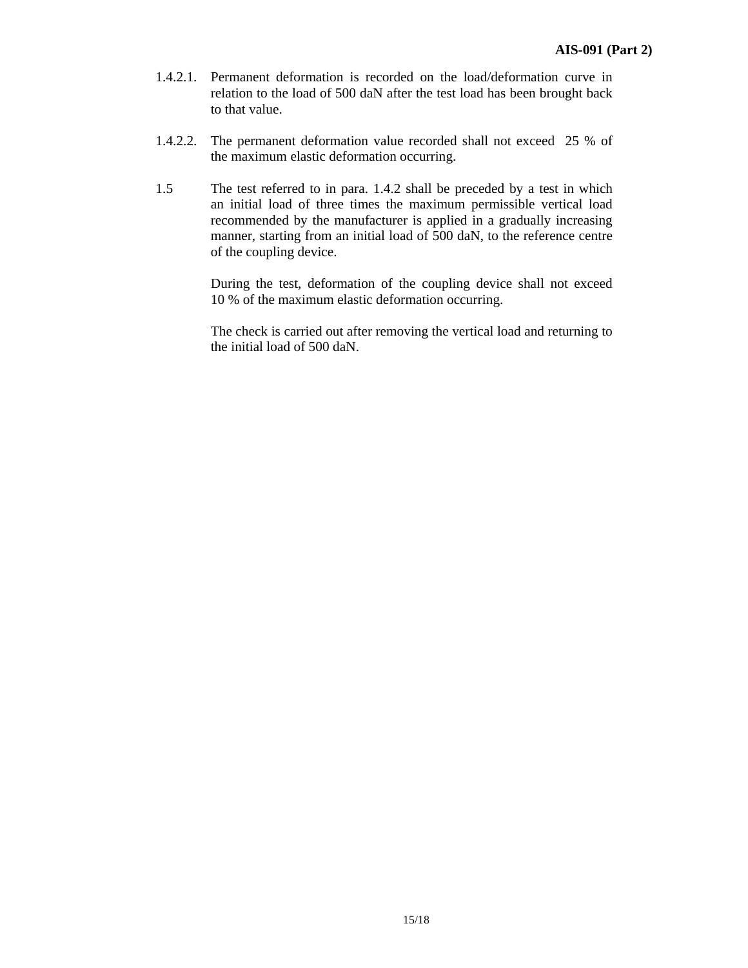- 1.4.2.1. Permanent deformation is recorded on the load/deformation curve in relation to the load of 500 daN after the test load has been brought back to that value.
- 1.4.2.2. The permanent deformation value recorded shall not exceed 25 % of the maximum elastic deformation occurring.
- 1.5 The test referred to in para. 1.4.2 shall be preceded by a test in which an initial load of three times the maximum permissible vertical load recommended by the manufacturer is applied in a gradually increasing manner, starting from an initial load of 500 daN, to the reference centre of the coupling device.

During the test, deformation of the coupling device shall not exceed 10 % of the maximum elastic deformation occurring.

The check is carried out after removing the vertical load and returning to the initial load of 500 daN.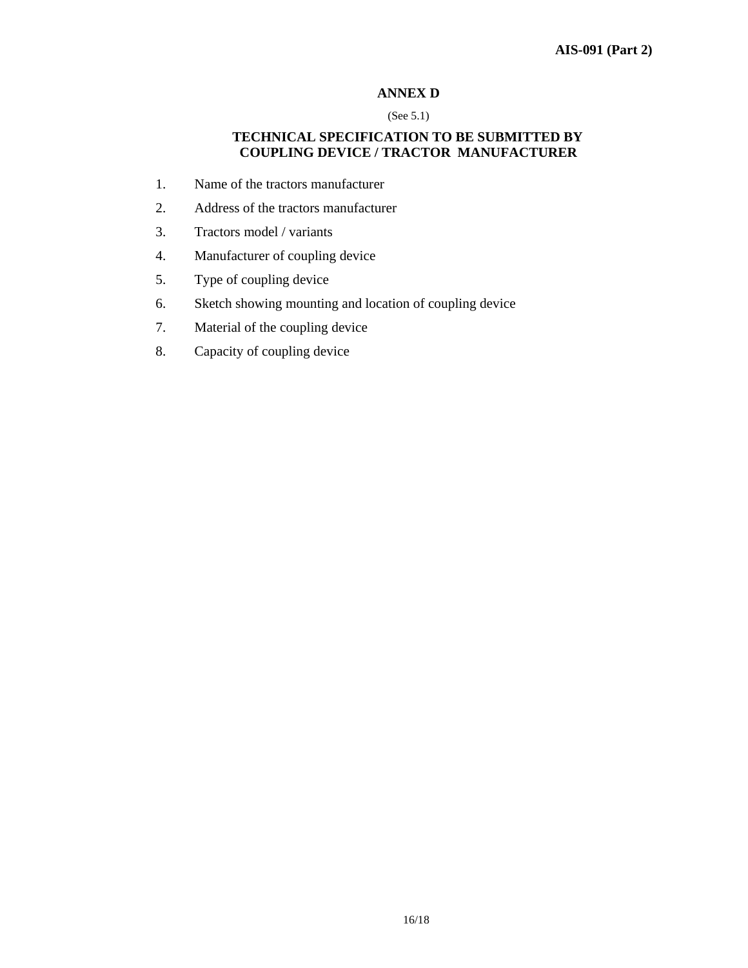## **ANNEX D**

(See 5.1)

## **TECHNICAL SPECIFICATION TO BE SUBMITTED BY COUPLING DEVICE / TRACTOR MANUFACTURER**

- 1. Name of the tractors manufacturer
- 2. Address of the tractors manufacturer
- 3. Tractors model / variants
- 4. Manufacturer of coupling device
- 5. Type of coupling device
- 6. Sketch showing mounting and location of coupling device
- 7. Material of the coupling device
- 8. Capacity of coupling device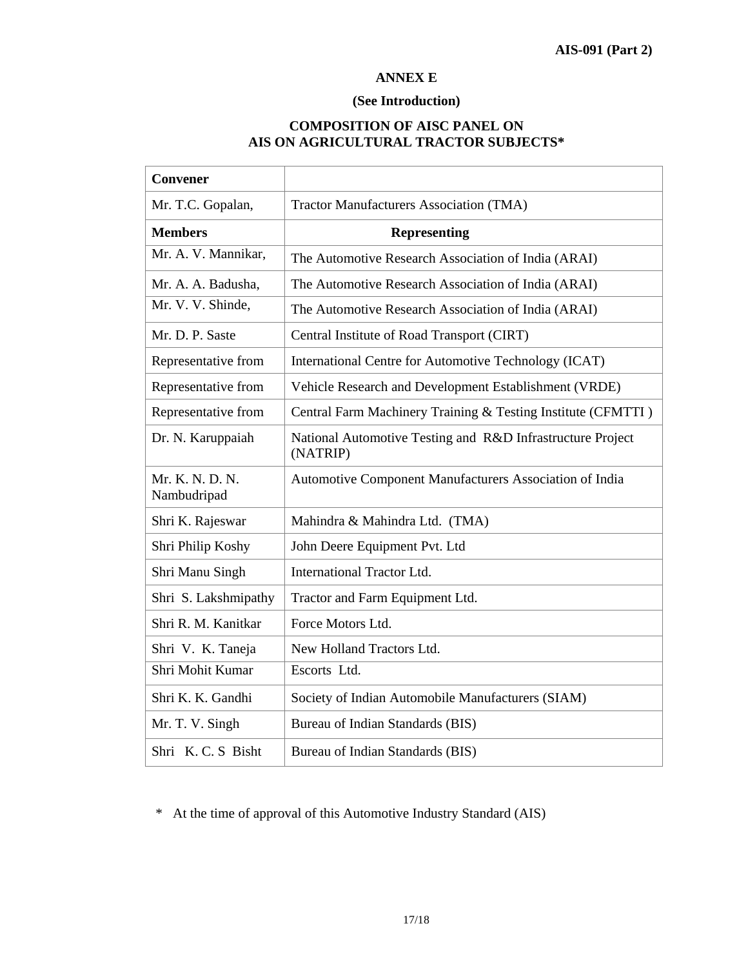#### **ANNEX E**

## **(See Introduction)**

## **COMPOSITION OF AISC PANEL ON AIS ON AGRICULTURAL TRACTOR SUBJECTS\***

| <b>Convener</b>                |                                                                        |  |  |
|--------------------------------|------------------------------------------------------------------------|--|--|
| Mr. T.C. Gopalan,              | <b>Tractor Manufacturers Association (TMA)</b>                         |  |  |
| <b>Members</b>                 | <b>Representing</b>                                                    |  |  |
| Mr. A. V. Mannikar,            | The Automotive Research Association of India (ARAI)                    |  |  |
| Mr. A. A. Badusha,             | The Automotive Research Association of India (ARAI)                    |  |  |
| Mr. V. V. Shinde,              | The Automotive Research Association of India (ARAI)                    |  |  |
| Mr. D. P. Saste                | Central Institute of Road Transport (CIRT)                             |  |  |
| Representative from            | International Centre for Automotive Technology (ICAT)                  |  |  |
| Representative from            | Vehicle Research and Development Establishment (VRDE)                  |  |  |
| Representative from            | Central Farm Machinery Training & Testing Institute (CFMTTI)           |  |  |
| Dr. N. Karuppaiah              | National Automotive Testing and R&D Infrastructure Project<br>(NATRIP) |  |  |
| Mr. K. N. D. N.<br>Nambudripad | Automotive Component Manufacturers Association of India                |  |  |
| Shri K. Rajeswar               | Mahindra & Mahindra Ltd. (TMA)                                         |  |  |
| Shri Philip Koshy              | John Deere Equipment Pvt. Ltd                                          |  |  |
| Shri Manu Singh                | International Tractor Ltd.                                             |  |  |
| Shri S. Lakshmipathy           | Tractor and Farm Equipment Ltd.                                        |  |  |
| Shri R. M. Kanitkar            | Force Motors Ltd.                                                      |  |  |
| Shri V. K. Taneja              | New Holland Tractors Ltd.                                              |  |  |
| Shri Mohit Kumar               | Escorts Ltd.                                                           |  |  |
| Shri K. K. Gandhi              | Society of Indian Automobile Manufacturers (SIAM)                      |  |  |
| Mr. T. V. Singh                | Bureau of Indian Standards (BIS)                                       |  |  |
| Shri K.C.S Bisht               | Bureau of Indian Standards (BIS)                                       |  |  |

\* At the time of approval of this Automotive Industry Standard (AIS)